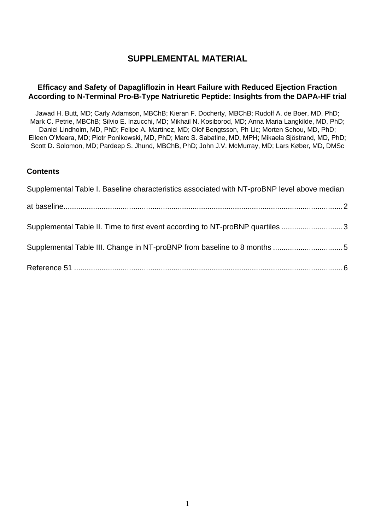## **SUPPLEMENTAL MATERIAL**

#### **Efficacy and Safety of Dapagliflozin in Heart Failure with Reduced Ejection Fraction According to N-Terminal Pro-B-Type Natriuretic Peptide: Insights from the DAPA-HF trial**

Jawad H. Butt, MD; Carly Adamson, MBChB; Kieran F. Docherty, MBChB; Rudolf A. de Boer, MD, PhD; Mark C. Petrie, MBChB; Silvio E. Inzucchi, MD; Mikhail N. Kosiborod, MD; Anna Maria Langkilde, MD, PhD; Daniel Lindholm, MD, PhD; Felipe A. Martinez, MD; Olof Bengtsson, Ph Lic; Morten Schou, MD, PhD; Eileen O'Meara, MD; Piotr Ponikowski, MD, PhD; Marc S. Sabatine, MD, MPH; Mikaela Sjöstrand, MD, PhD; Scott D. Solomon, MD; Pardeep S. Jhund, MBChB, PhD; John J.V. McMurray, MD; Lars Køber, MD, DMSc

#### **Contents**

| Supplemental Table I. Baseline characteristics associated with NT-proBNP level above median |  |  |  |  |
|---------------------------------------------------------------------------------------------|--|--|--|--|
|                                                                                             |  |  |  |  |
| Supplemental Table II. Time to first event according to NT-proBNP quartiles 3               |  |  |  |  |
|                                                                                             |  |  |  |  |
|                                                                                             |  |  |  |  |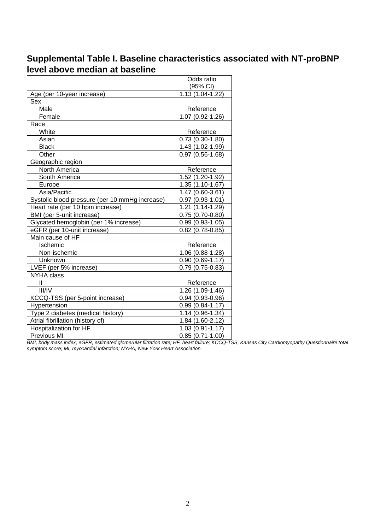# <span id="page-1-0"></span>**Supplemental Table I. Baseline characteristics associated with NT-proBNP level above median at baseline**

|                                                | Odds ratio          |  |
|------------------------------------------------|---------------------|--|
|                                                | (95% CI)            |  |
| Age (per 10-year increase)                     | 1.13 (1.04-1.22)    |  |
| Sex                                            |                     |  |
| Male                                           | Reference           |  |
| Female                                         | 1.07 (0.92-1.26)    |  |
| Race                                           |                     |  |
| White                                          | Reference           |  |
| Asian                                          | $0.73(0.30-1.80)$   |  |
| <b>Black</b>                                   | 1.43 (1.02-1.99)    |  |
| Other                                          | $0.97(0.56 - 1.68)$ |  |
| Geographic region                              |                     |  |
| North America                                  | Reference           |  |
| South America                                  | 1.52 (1.20-1.92)    |  |
| Europe                                         | 1.35 (1.10-1.67)    |  |
| Asia/Pacific                                   | 1.47 (0.60-3.61)    |  |
| Systolic blood pressure (per 10 mmHg increase) | $0.97(0.93 - 1.01)$ |  |
| Heart rate (per 10 bpm increase)               | 1.21 (1.14-1.29)    |  |
| BMI (per 5-unit increase)                      | $0.75(0.70-0.80)$   |  |
| Glycated hemoglobin (per 1% increase)          | $0.99(0.93-1.05)$   |  |
| eGFR (per 10-unit increase)                    | $0.82(0.78-0.85)$   |  |
| Main cause of HF                               |                     |  |
| Ischemic                                       | Reference           |  |
| Non-ischemic                                   | 1.06 (0.88-1.28)    |  |
| Unknown                                        | $0.90(0.69 - 1.17)$ |  |
| LVEF (per 5% increase)                         | $0.79(0.75-0.83)$   |  |
| <b>NYHA class</b>                              |                     |  |
| $\mathbf{H}$                                   | Reference           |  |
| III/IV                                         | 1.26 (1.09-1.46)    |  |
| KCCQ-TSS (per 5-point increase)                | $0.94(0.93 - 0.96)$ |  |
| Hypertension                                   | $0.99(0.84 - 1.17)$ |  |
| Type 2 diabetes (medical history)              | 1.14 (0.96-1.34)    |  |
| Atrial fibrillation (history of)               | 1.84 (1.60-2.12)    |  |
| Hospitalization for HF                         | 1.03 (0.91-1.17)    |  |
| Previous MI                                    | $0.85(0.71-1.00)$   |  |

*BMI, body mass index; eGFR, estimated glomerular filtration rate; HF, heart failure; KCCQ-TSS, Kansas City Cardiomyopathy Questionnaire total symptom score; MI, myocardial infarction; NYHA, New York Heart Association.*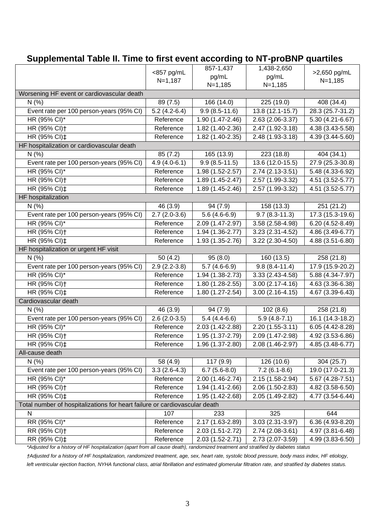## <span id="page-2-0"></span>**Supplemental Table II. Time to first event according to NT-proBNP quartiles**

|                                                                            | 857-1,437                 |                     | 1,438-2,650                   |                  |  |  |  |  |
|----------------------------------------------------------------------------|---------------------------|---------------------|-------------------------------|------------------|--|--|--|--|
|                                                                            | <857 pg/mL<br>$N = 1,187$ | pg/mL               | pg/mL                         | >2,650 pg/mL     |  |  |  |  |
|                                                                            |                           | $N=1,185$           | $N = 1,185$                   | $N = 1,185$      |  |  |  |  |
| Worsening HF event or cardiovascular death                                 |                           |                     |                               |                  |  |  |  |  |
| N(% )                                                                      | 89 (7.5)                  | 166 (14.0)          | 225 (19.0)                    | 408 (34.4)       |  |  |  |  |
| Event rate per 100 person-years (95% CI)                                   | $5.2(4.2-6.4)$            | $9.9(8.5-11.6)$     | 13.8 (12.1-15.7)              | 28.3 (25.7-31.2) |  |  |  |  |
| HR (95% CI)*                                                               | Reference                 | 1.90 (1.47-2.46)    | 2.63 (2.06-3.37)              | 5.30 (4.21-6.67) |  |  |  |  |
| HR (95% CI) <sup>+</sup>                                                   | Reference                 | 1.82 (1.40-2.36)    | 2.47 (1.92-3.18)              | 4.38 (3.43-5.58) |  |  |  |  |
| HR (95% CI) ‡                                                              | Reference                 | 1.82 (1.40-2.35)    | 2.48 (1.93-3.18)              | 4.39 (3.44-5.60) |  |  |  |  |
| HF hospitalization or cardiovascular death                                 |                           |                     |                               |                  |  |  |  |  |
| N(% )                                                                      | 85(7.2)                   | 165 (13.9)          | 223 (18.8)                    | 404 (34.1)       |  |  |  |  |
| Event rate per 100 person-years (95% CI)                                   | $4.9(4.0-6.1)$            | $9.9(8.5-11.5)$     | $\overline{13.6}$ (12.0-15.5) | 27.9 (25.3-30.8) |  |  |  |  |
| HR (95% CI)*                                                               | Reference                 | 1.98 (1.52-2.57)    | 2.74 (2.13-3.51)              | 5.48 (4.33-6.92) |  |  |  |  |
| HR (95% CI) <sup>+</sup>                                                   | Reference                 | 1.89 (1.45-2.47)    | $2.57(1.99-3.32)$             | 4.51 (3.52-5.77) |  |  |  |  |
| HR (95% CI) ‡                                                              | Reference                 | 1.89 (1.45-2.46)    | 2.57 (1.99-3.32)              | 4.51 (3.52-5.77) |  |  |  |  |
| HF hospitalization                                                         |                           |                     |                               |                  |  |  |  |  |
| N(% )                                                                      | 46 (3.9)                  | 94 (7.9)            | 158 (13.3)                    | 251 (21.2)       |  |  |  |  |
| Event rate per 100 person-years (95% CI)                                   | $2.7(2.0-3.6)$            | $5.6(4.6-6.9)$      | $9.7(8.3-11.3)$               | 17.3 (15.3-19.6) |  |  |  |  |
| HR (95% CI)*                                                               | Reference                 | 2.09 (1.47-2.97)    | $3.58(2.58-4.98)$             | 6.20 (4.52-8.49) |  |  |  |  |
| HR (95% CI) <sup>+</sup>                                                   | Reference                 | 1.94 (1.36-2.77)    | 3.23 (2.31-4.52)              | 4.86 (3.49-6.77) |  |  |  |  |
| HR (95% CI) ±                                                              | Reference                 | 1.93 (1.35-2.76)    | 3.22 (2.30-4.50)              | 4.88 (3.51-6.80) |  |  |  |  |
| HF hospitalization or urgent HF visit                                      |                           |                     |                               |                  |  |  |  |  |
| N(% )                                                                      | 50(4.2)                   | 95(8.0)             | 160 (13.5)                    | 258 (21.8)       |  |  |  |  |
| Event rate per 100 person-years (95% CI)                                   | $2.9(2.2-3.8)$            | $5.7(4.6-6.9)$      | $9.8(8.4-11.4)$               | 17.9 (15.9-20.2) |  |  |  |  |
| HR (95% CI)*                                                               | Reference                 | 1.94 (1.38-2.73)    | $3.33(2.43 - 4.58)$           | 5.88 (4.34-7.97) |  |  |  |  |
| HR (95% CI) <sup>+</sup>                                                   | Reference                 | 1.80 (1.28-2.55)    | $3.00(2.17 - 4.16)$           | 4.63 (3.36-6.38) |  |  |  |  |
| HR (95% CI) ‡                                                              | Reference                 | 1.80 (1.27-2.54)    | $3.00(2.16-4.15)$             | 4.67 (3.39-6.43) |  |  |  |  |
| Cardiovascular death                                                       |                           |                     |                               |                  |  |  |  |  |
| N(% )                                                                      | 46 (3.9)                  | 94 (7.9)            | 102(8.6)                      | 258 (21.8)       |  |  |  |  |
| Event rate per 100 person-years (95% CI)                                   | $2.6(2.0-3.5)$            | $5.4(4.4-6.6)$      | $5.9(4.8-7.1)$                | 16.1 (14.3-18.2) |  |  |  |  |
| HR (95% CI)*                                                               | Reference                 | 2.03 (1.42-2.88)    | 2.20 (1.55-3.11)              | 6.05 (4.42-8.28) |  |  |  |  |
| HR (95% CI) <sup>+</sup>                                                   | Reference                 | 1.95 (1.37-2.79)    | 2.09 (1.47-2.98)              | 4.92 (3.53-6.86) |  |  |  |  |
| HR (95% CI)‡                                                               | Reference                 | $1.96(1.37 - 2.80)$ | 2.08 (1.46-2.97)              | 4.85 (3.48-6.77) |  |  |  |  |
| All-cause death                                                            |                           |                     |                               |                  |  |  |  |  |
| N(% )                                                                      | 58 (4.9)                  | 117 (9.9)           | 126 (10.6)                    | 304 (25.7)       |  |  |  |  |
| Event rate per 100 person-years (95% CI)                                   | $3.3(2.6-4.3)$            | $6.7(5.6-8.0)$      | $7.2(6.1-8.6)$                | 19.0 (17.0-21.3) |  |  |  |  |
| HR (95% CI)*                                                               | Reference                 | 2.00 (1.46-2.74)    | 2.15 (1.58-2.94)              | 5.67 (4.28-7.51) |  |  |  |  |
| HR (95% CI) <sup>+</sup>                                                   | Reference                 | 1.94 (1.41-2.66)    | 2.06 (1.50-2.83)              | 4.82 (3.58-6.50) |  |  |  |  |
| HR (95% CI) ‡                                                              | Reference                 | 1.95 (1.42-2.68)    | 2.05 (1.49-2.82)              | 4.77 (3.54-6.44) |  |  |  |  |
| Total number of hospitalizations for heart failure or cardiovascular death |                           |                     |                               |                  |  |  |  |  |
| N                                                                          | 107                       | 233                 | 325                           | 644              |  |  |  |  |
| RR (95% CI)*                                                               | Reference                 | 2.17 (1.63-2.89)    | 3.03 (2.31-3.97)              | 6.36 (4.93-8.20) |  |  |  |  |
| RR (95% CI) <sup>+</sup>                                                   | Reference                 | 2.03 (1.51-2.72)    | 2.74 (2.08-3.61)              | 4.97 (3.81-6.48) |  |  |  |  |
| RR (95% CI) ‡                                                              | Reference                 | 2.03 (1.52-2.71)    | 2.73 (2.07-3.59)              | 4.99 (3.83-6.50) |  |  |  |  |

*\*Adjusted for a history of HF hospitalization (apart from all cause death), randomized treatment and stratified by diabetes status*

*†Adjusted for a history of HF hospitalization, randomized treatment, age, sex, heart rate, systolic blood pressure, body mass index, HF etiology, left ventricular ejection fraction, NYHA functional class, atrial fibrillation and estimated glomerular filtration rate, and stratified by diabetes status.*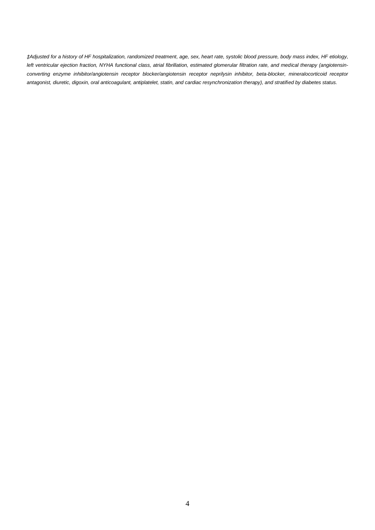*‡Adjusted for a history of HF hospitalization, randomized treatment, age, sex, heart rate, systolic blood pressure, body mass index, HF etiology, left ventricular ejection fraction, NYHA functional class, atrial fibrillation, estimated glomerular filtration rate, and medical therapy (angiotensinconverting enzyme inhibitor/angiotensin receptor blocker/angiotensin receptor neprilysin inhibitor, beta-blocker, mineralocorticoid receptor antagonist, diuretic, digoxin, oral anticoagulant, antiplatelet, statin, and cardiac resynchronization therapy), and stratified by diabetes status.*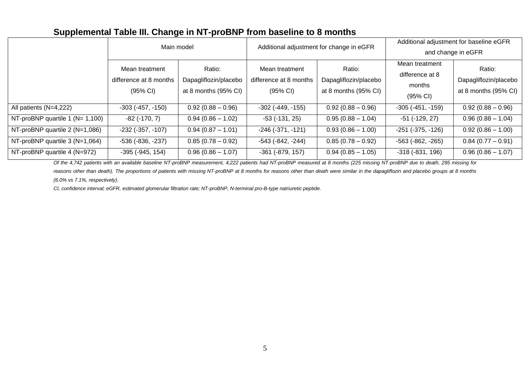# **Supplemental Table III. Change in NT-proBNP from baseline to 8 months**

|                                      | Main model                                                     |                                                         | Additional adjustment for change in eGFR                       |                                                         |                                                                   | Additional adjustment for baseline eGFR                 |
|--------------------------------------|----------------------------------------------------------------|---------------------------------------------------------|----------------------------------------------------------------|---------------------------------------------------------|-------------------------------------------------------------------|---------------------------------------------------------|
|                                      |                                                                |                                                         |                                                                |                                                         |                                                                   | and change in eGFR                                      |
|                                      | Mean treatment<br>difference at 8 months<br>$(95% \text{ Cl})$ | Ratio:<br>Dapagliflozin/placebo<br>at 8 months (95% CI) | Mean treatment<br>difference at 8 months<br>$(95% \text{ Cl})$ | Ratio:<br>Dapagliflozin/placebo<br>at 8 months (95% CI) | Mean treatment<br>difference at 8<br>months<br>$(95% \text{ Cl})$ | Ratio:<br>Dapagliflozin/placebo<br>at 8 months (95% CI) |
| All patients (N=4,222)               | $-303$ ( $-457, -150$ )                                        | $0.92(0.88 - 0.96)$                                     | $-302$ ( $-449$ , $-155$ )                                     | $0.92(0.88 - 0.96)$                                     | $-305$ $(-451, -159)$                                             | $0.92(0.88 - 0.96)$                                     |
| NT-proBNP quartile 1 ( $N = 1,100$ ) | $-82$ ( $-170, 7$ )                                            | $0.94(0.86 - 1.02)$                                     | $-53$ ( $-131$ , 25)                                           | $0.95(0.88 - 1.04)$                                     | $-51$ ( $-129, 27$ )                                              | $0.96(0.88 - 1.04)$                                     |
| NT-proBNP quartile 2 (N=1,086)       | $-232$ ( $-357, -107$ )                                        | $0.94(0.87 - 1.01)$                                     | $-246$ ( $-371$ , $-121$ )                                     | $0.93(0.86 - 1.00)$                                     | $-251$ ( $-375, -126$ )                                           | $0.92(0.86 - 1.00)$                                     |
| NT-proBNP quartile 3 (N=1,064)       | $-536$ ( $-836$ , $-237$ )                                     | $0.85(0.78 - 0.92)$                                     | $-543$ ( $-842$ , $-244$ )                                     | $0.85(0.78 - 0.92)$                                     | $-563$ ( $-862$ , $-265$ )                                        | $0.84(0.77 - 0.91)$                                     |
| NT-proBNP quartile 4 (N=972)         | $-395$ ( $-945$ , $154$ )                                      | $0.96(0.86 - 1.07)$                                     | $-361$ $(-879, 157)$                                           | $0.94(0.85 - 1.05)$                                     | $-318$ $(-831, 196)$                                              | $0.96(0.86 - 1.07)$                                     |

*Of the 4,742 patients with an available baseline NT-proBNP measurement, 4,222 patients had NT-proBNP measured at 8 months (225 missing NT-proBNP due to death, 295 missing for* 

reasons other than death). The proportions of patients with missing NT-proBNP at 8 months for reasons other than death were similar in the dapagliflozin and placebo groups at 8 months *(6.0% vs 7.1%, respectively).*

<span id="page-4-0"></span>*CI, confidence interval; eGFR, estimated glomerular filtration rate; NT-proBNP, N-terminal pro-B-type natriuretic peptide.*